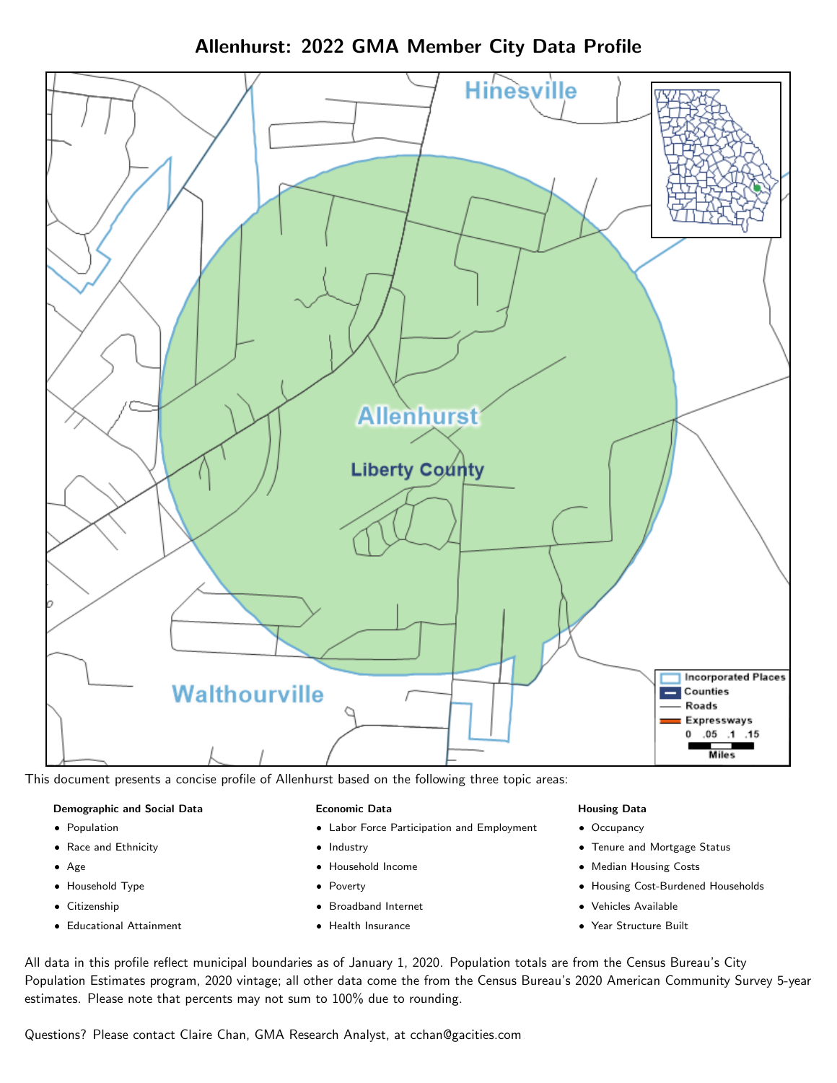Allenhurst: 2022 GMA Member City Data Profile



This document presents a concise profile of Allenhurst based on the following three topic areas:

#### Demographic and Social Data

- **•** Population
- Race and Ethnicity
- Age
- Household Type
- **Citizenship**
- Educational Attainment

#### Economic Data

- Labor Force Participation and Employment
- Industry
- Household Income
- Poverty
- Broadband Internet
- Health Insurance

### Housing Data

- Occupancy
- Tenure and Mortgage Status
- Median Housing Costs
- Housing Cost-Burdened Households
- Vehicles Available
- Year Structure Built

All data in this profile reflect municipal boundaries as of January 1, 2020. Population totals are from the Census Bureau's City Population Estimates program, 2020 vintage; all other data come the from the Census Bureau's 2020 American Community Survey 5-year estimates. Please note that percents may not sum to 100% due to rounding.

Questions? Please contact Claire Chan, GMA Research Analyst, at [cchan@gacities.com.](mailto:cchan@gacities.com)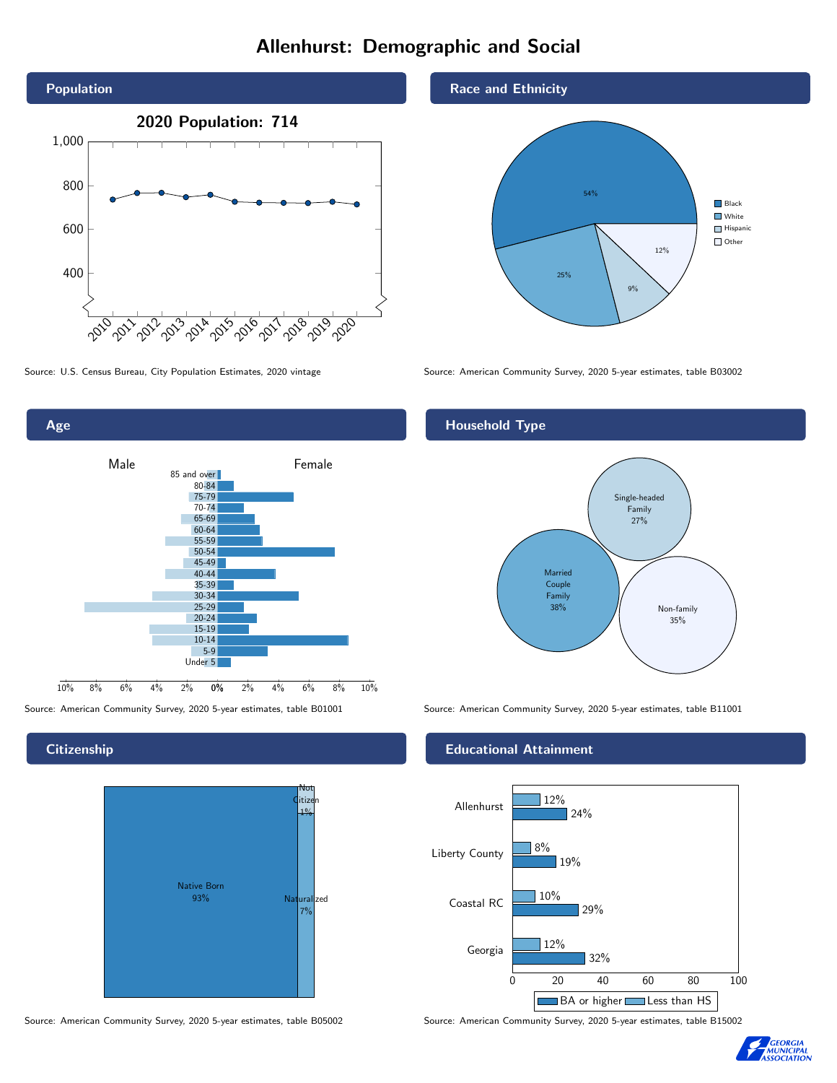# Allenhurst: Demographic and Social





**Citizenship** 



Source: American Community Survey, 2020 5-year estimates, table B05002 Source: American Community Survey, 2020 5-year estimates, table B15002

Race and Ethnicity



Source: U.S. Census Bureau, City Population Estimates, 2020 vintage Source: American Community Survey, 2020 5-year estimates, table B03002

## Household Type



Source: American Community Survey, 2020 5-year estimates, table B01001 Source: American Community Survey, 2020 5-year estimates, table B11001

### Educational Attainment



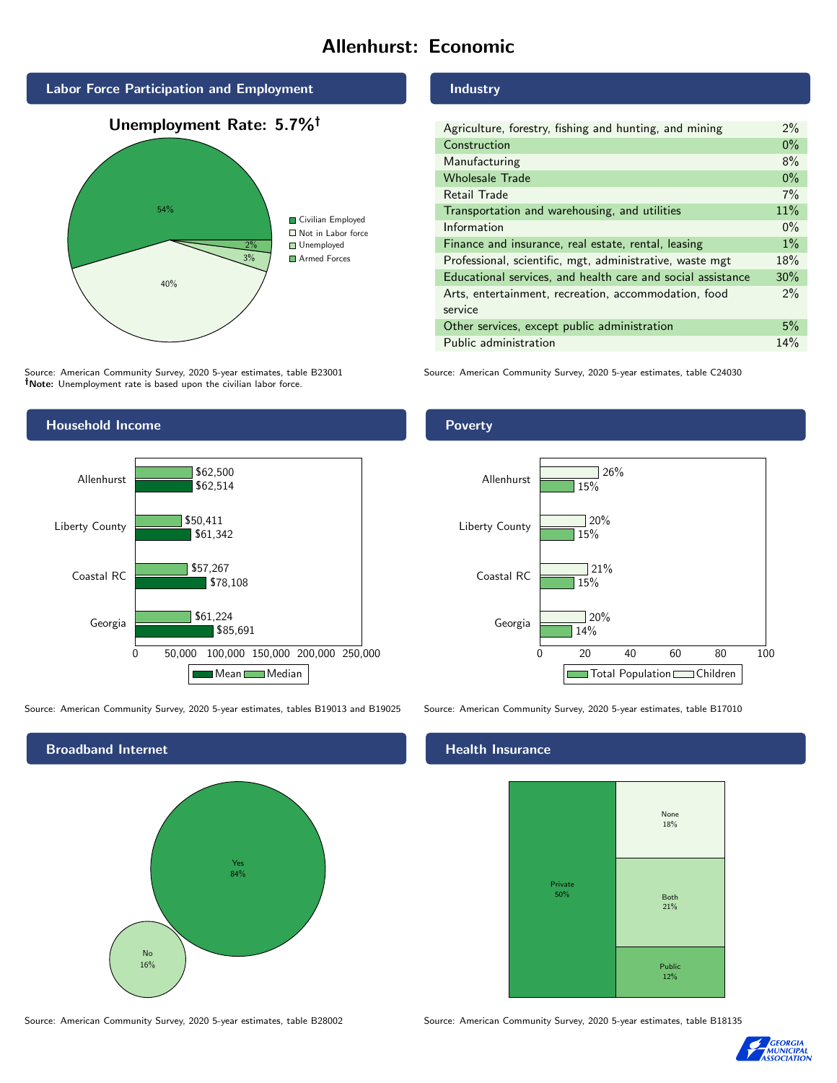# Allenhurst: Economic



Source: American Community Survey, 2020 5-year estimates, table B23001 Note: Unemployment rate is based upon the civilian labor force.

# Household Income 0 50,000 100,000 150,000 200,000 250,000 Georgia Coastal RC Liberty County Allenhurst \$85,691 \$78,108 \$61,342 \$62,514 \$61,224 \$57,267 \$50,411 \$62,500 Mean Median

Source: American Community Survey, 2020 5-year estimates, tables B19013 and B19025 Source: American Community Survey, 2020 5-year estimates, table B17010



Industry

| Agriculture, forestry, fishing and hunting, and mining      | $2\%$ |
|-------------------------------------------------------------|-------|
| Construction                                                | $0\%$ |
| Manufacturing                                               | 8%    |
| <b>Wholesale Trade</b>                                      | $0\%$ |
| Retail Trade                                                | 7%    |
| Transportation and warehousing, and utilities               | 11%   |
| Information                                                 | $0\%$ |
| Finance and insurance, real estate, rental, leasing         | $1\%$ |
| Professional, scientific, mgt, administrative, waste mgt    | 18%   |
| Educational services, and health care and social assistance | 30%   |
| Arts, entertainment, recreation, accommodation, food        | $2\%$ |
| service                                                     |       |
| Other services, except public administration                | 5%    |
| Public administration                                       | 14%   |

Source: American Community Survey, 2020 5-year estimates, table C24030

# Poverty



## **Health Insurance**



Source: American Community Survey, 2020 5-year estimates, table B28002 Source: American Community Survey, 2020 5-year estimates, table B18135